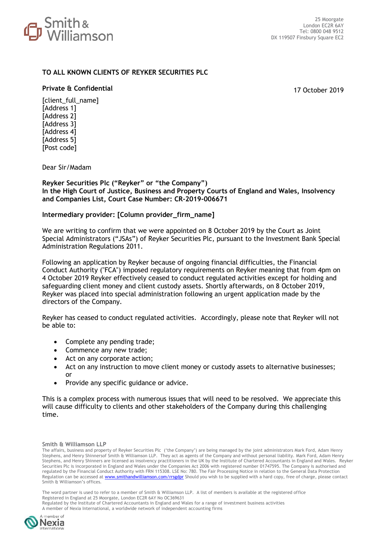

## **TO ALL KNOWN CLIENTS OF REYKER SECURITIES PLC**

## **Private & Confidential** 17 October 2019

[client\_full\_name] [Address 1] [Address 2] [Address 3] [Address 4] [Address 5] [Post code]

Dear Sir/Madam

**Reyker Securities Plc ("Reyker" or "the Company") In the High Court of Justice, Business and Property Courts of England and Wales, Insolvency and Companies List, Court Case Number: CR-2019-006671**

### **Intermediary provider: [Column provider\_firm\_name]**

We are writing to confirm that we were appointed on 8 October 2019 by the Court as Joint Special Administrators ("JSAs") of Reyker Securities Plc, pursuant to the Investment Bank Special Administration Regulations 2011.

Following an application by Reyker because of ongoing financial difficulties, the Financial Conduct Authority ("FCA") imposed regulatory requirements on Reyker meaning that from 4pm on 4 October 2019 Reyker effectively ceased to conduct regulated activities except for holding and safeguarding client money and client custody assets. Shortly afterwards, on 8 October 2019, Reyker was placed into special administration following an urgent application made by the directors of the Company.

Reyker has ceased to conduct regulated activities. Accordingly, please note that Reyker will not be able to:

- Complete any pending trade;
- Commence any new trade;
- Act on any corporate action;
- Act on any instruction to move client money or custody assets to alternative businesses; or
- Provide any specific guidance or advice.

This is a complex process with numerous issues that will need to be resolved. We appreciate this will cause difficulty to clients and other stakeholders of the Company during this challenging time.

#### **Smith & Williamson LLP**

The affairs, business and property of Reyker Securities Plc ('the Company') are being managed by the joint administrators Mark Ford, Adam Henry Stephens, and Henry Shinnersof Smith & Williamson LLP. They act as agents of the Company and without personal liability. Mark Ford, Adam Henry Stephens, and Henry Shinners are licensed as insolvency practitioners in the UK by the Institute of Chartered Accountants in England and Wales. Reyker Securities Plc is incorporated in England and Wales under the Companies Act 2006 with registered number 01747595. The Company is authorised and regulated by the Financial Conduct Authority with FRN 115308. LSE No: 780. The Fair Processing Notice in relation to the General Data Protection Regulation can be accessed at [www.smithandwilliamson.com/rrsgdpr](http://www.smithandwilliamson.com/rrsgdpr) Should you wish to be supplied with a hard copy, free of charge, please contact Smith & Williamson's offices.

The word partner is used to refer to a member of Smith & Williamson LLP. A list of members is available at the registered office Registered in England at 25 Moorgate, London EC2R 6AY No OC369631 Regulated by the Institute of Chartered Accountants in England and Wales for a range of investment business activities A member of Nexia International, a worldwide network of independent accounting firms

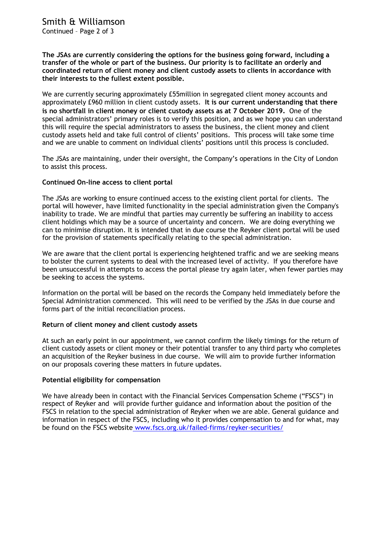Smith & Williamson Continued – Page 2 of 3

**The JSAs are currently considering the options for the business going forward, including a transfer of the whole or part of the business. Our priority is to facilitate an orderly and coordinated return of client money and client custody assets to clients in accordance with their interests to the fullest extent possible.** 

We are currently securing approximately £55million in segregated client money accounts and approximately £960 million in client custody assets. **It is our current understanding that there is no shortfall in client money or client custody assets as at 7 October 2019.** One of the special administrators' primary roles is to verify this position, and as we hope you can understand this will require the special administrators to assess the business, the client money and client custody assets held and take full control of clients' positions. This process will take some time and we are unable to comment on individual clients' positions until this process is concluded.

The JSAs are maintaining, under their oversight, the Company's operations in the City of London to assist this process.

#### **Continued On-line access to client portal**

The JSAs are working to ensure continued access to the existing client portal for clients. The portal will however, have limited functionality in the special administration given the Company's inability to trade. We are mindful that parties may currently be suffering an inability to access client holdings which may be a source of uncertainty and concern. We are doing everything we can to minimise disruption. It is intended that in due course the Reyker client portal will be used for the provision of statements specifically relating to the special administration.

We are aware that the client portal is experiencing heightened traffic and we are seeking means to bolster the current systems to deal with the increased level of activity. If you therefore have been unsuccessful in attempts to access the portal please try again later, when fewer parties may be seeking to access the systems.

Information on the portal will be based on the records the Company held immediately before the Special Administration commenced. This will need to be verified by the JSAs in due course and forms part of the initial reconciliation process.

#### **Return of client money and client custody assets**

At such an early point in our appointment, we cannot confirm the likely timings for the return of client custody assets or client money or their potential transfer to any third party who completes an acquisition of the Reyker business in due course. We will aim to provide further information on our proposals covering these matters in future updates.

#### **Potential eligibility for compensation**

We have already been in contact with the Financial Services Compensation Scheme ("FSCS") in respect of Reyker and will provide further guidance and information about the position of the FSCS in relation to the special administration of Reyker when we are able. General guidance and information in respect of the FSCS, including who it provides compensation to and for what, may be found on the FSCS website [www.fscs.org.uk/failed-firms/reyker-securities/](http://www.fscs.org.uk/failed-firms/reyker-securities/)